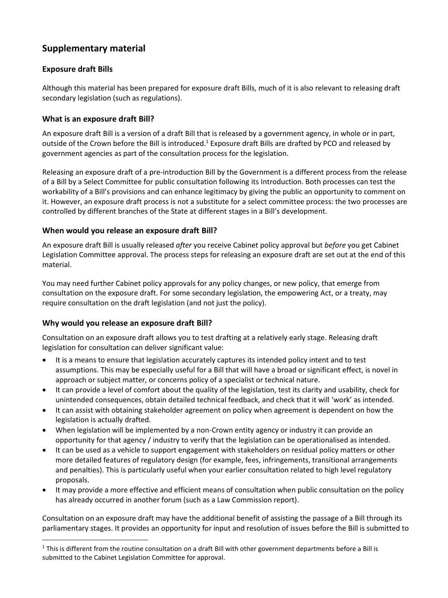# **Supplementary material**

# **Exposure draft Bills**

Although this material has been prepared for exposure draft Bills, much of it is also relevant to releasing draft secondary legislation (such as regulations).

# **What is an exposure draft Bill?**

An exposure draft Bill is a version of a draft Bill that is released by a government agency, in whole or in part, outside of the Crown before the Bill is introduced.<sup>1</sup> Exposure draft Bills are drafted by PCO and released by government agencies as part of the consultation process for the legislation.

Releasing an exposure draft of a pre-introduction Bill by the Government is a different process from the release of a Bill by a Select Committee for public consultation following its Introduction. Both processes can test the workability of a Bill's provisions and can enhance legitimacy by giving the public an opportunity to comment on it. However, an exposure draft process is not a substitute for a select committee process: the two processes are controlled by different branches of the State at different stages in a Bill's development.

# **When would you release an exposure draft Bill?**

An exposure draft Bill is usually released *after* you receive Cabinet policy approval but *before* you get Cabinet Legislation Committee approval. The process steps for releasing an exposure draft are set out at the end of this material.

You may need further Cabinet policy approvals for any policy changes, or new policy, that emerge from consultation on the exposure draft. For some secondary legislation, the empowering Act, or a treaty, may require consultation on the draft legislation (and not just the policy).

#### **Why would you release an exposure draft Bill?**

 $\overline{\phantom{a}}$ 

Consultation on an exposure draft allows you to test drafting at a relatively early stage. Releasing draft legislation for consultation can deliver significant value:

- It is a means to ensure that legislation accurately captures its intended policy intent and to test assumptions. This may be especially useful for a Bill that will have a broad or significant effect, is novel in approach or subject matter, or concerns policy of a specialist or technical nature.
- It can provide a level of comfort about the quality of the legislation, test its clarity and usability, check for unintended consequences, obtain detailed technical feedback, and check that it will 'work' as intended.
- It can assist with obtaining stakeholder agreement on policy when agreement is dependent on how the legislation is actually drafted.
- When legislation will be implemented by a non-Crown entity agency or industry it can provide an opportunity for that agency / industry to verify that the legislation can be operationalised as intended.
- It can be used as a vehicle to support engagement with stakeholders on residual policy matters or other more detailed features of regulatory design (for example, fees, infringements, transitional arrangements and penalties). This is particularly useful when your earlier consultation related to high level regulatory proposals.
- It may provide a more effective and efficient means of consultation when public consultation on the policy has already occurred in another forum (such as a Law Commission report).

Consultation on an exposure draft may have the additional benefit of assisting the passage of a Bill through its parliamentary stages. It provides an opportunity for input and resolution of issues before the Bill is submitted to

<sup>&</sup>lt;sup>1</sup> This is different from the routine consultation on a draft Bill with other government departments before a Bill is submitted to the Cabinet Legislation Committee for approval.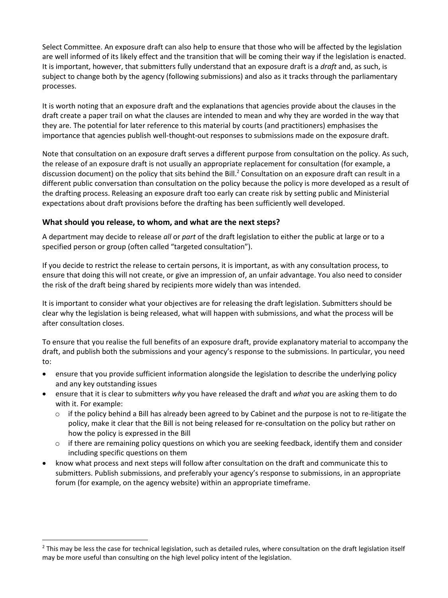Select Committee. An exposure draft can also help to ensure that those who will be affected by the legislation are well informed of its likely effect and the transition that will be coming their way if the legislation is enacted. It is important, however, that submitters fully understand that an exposure draft is a *draft* and, as such, is subject to change both by the agency (following submissions) and also as it tracks through the parliamentary processes.

It is worth noting that an exposure draft and the explanations that agencies provide about the clauses in the draft create a paper trail on what the clauses are intended to mean and why they are worded in the way that they are. The potential for later reference to this material by courts (and practitioners) emphasises the importance that agencies publish well-thought-out responses to submissions made on the exposure draft.

Note that consultation on an exposure draft serves a different purpose from consultation on the policy. As such, the release of an exposure draft is not usually an appropriate replacement for consultation (for example, a discussion document) on the policy that sits behind the Bill.<sup>2</sup> Consultation on an exposure draft can result in a different public conversation than consultation on the policy because the policy is more developed as a result of the drafting process. Releasing an exposure draft too early can create risk by setting public and Ministerial expectations about draft provisions before the drafting has been sufficiently well developed.

#### **What should you release, to whom, and what are the next steps?**

 $\overline{\phantom{a}}$ 

A department may decide to release *all* or *part* of the draft legislation to either the public at large or to a specified person or group (often called "targeted consultation").

If you decide to restrict the release to certain persons, it is important, as with any consultation process, to ensure that doing this will not create, or give an impression of, an unfair advantage. You also need to consider the risk of the draft being shared by recipients more widely than was intended.

It is important to consider what your objectives are for releasing the draft legislation. Submitters should be clear why the legislation is being released, what will happen with submissions, and what the process will be after consultation closes.

To ensure that you realise the full benefits of an exposure draft, provide explanatory material to accompany the draft, and publish both the submissions and your agency's response to the submissions. In particular, you need to:

- ensure that you provide sufficient information alongside the legislation to describe the underlying policy and any key outstanding issues
- ensure that it is clear to submitters *why* you have released the draft and *what* you are asking them to do with it. For example:
	- $\circ$  if the policy behind a Bill has already been agreed to by Cabinet and the purpose is not to re-litigate the policy, make it clear that the Bill is not being released for re-consultation on the policy but rather on how the policy is expressed in the Bill
	- $\circ$  if there are remaining policy questions on which you are seeking feedback, identify them and consider including specific questions on them
- know what process and next steps will follow after consultation on the draft and communicate this to submitters. Publish submissions, and preferably your agency's response to submissions, in an appropriate forum (for example, on the agency website) within an appropriate timeframe.

<sup>&</sup>lt;sup>2</sup> This may be less the case for technical legislation, such as detailed rules, where consultation on the draft legislation itself may be more useful than consulting on the high level policy intent of the legislation.